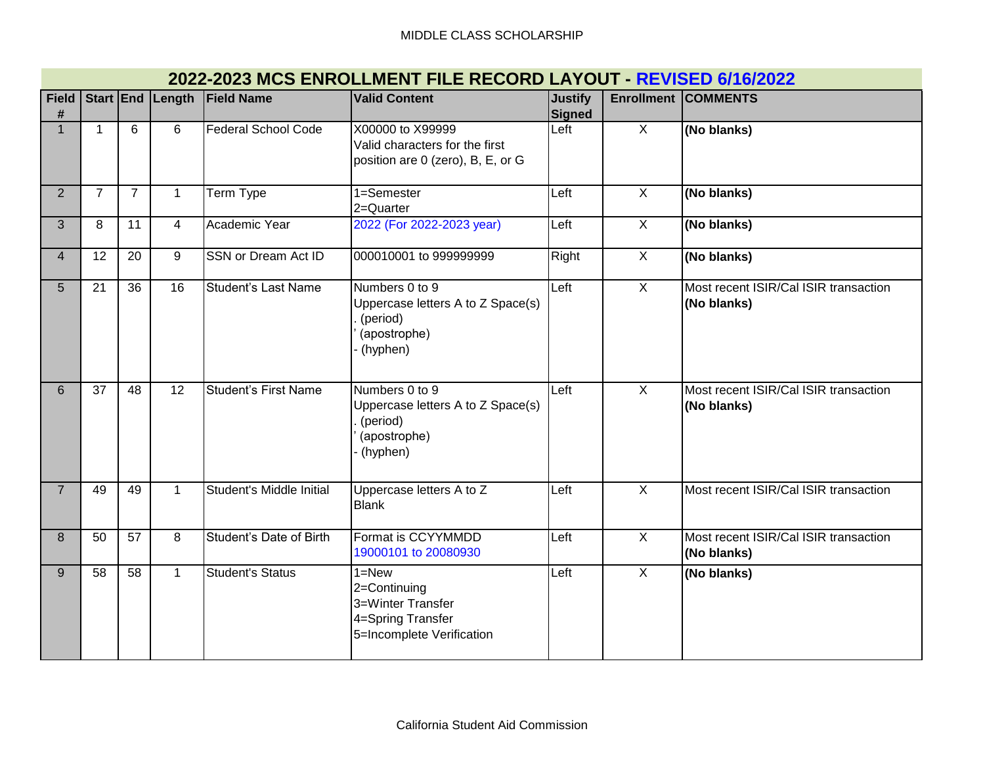| <b>Field</b><br># |                |                 |                | Start End Length Field Name | <b>Valid Content</b>                                                                             | <b>Justify</b><br>Signed | <b>Enrollment</b> | <b>COMMENTS</b>                                      |
|-------------------|----------------|-----------------|----------------|-----------------------------|--------------------------------------------------------------------------------------------------|--------------------------|-------------------|------------------------------------------------------|
| $\mathbf{1}$      | $\mathbf 1$    | 6               | 6              | Federal School Code         | X00000 to X99999<br>Valid characters for the first<br>position are 0 (zero), B, E, or G          | Left                     | $\overline{X}$    | (No blanks)                                          |
| 2 <sup>1</sup>    | $\overline{7}$ | $\overline{7}$  | $\mathbf{1}$   | <b>Term Type</b>            | 1=Semester<br>2=Quarter                                                                          | Left                     | $\overline{X}$    | (No blanks)                                          |
| 3                 | 8              | $\overline{11}$ | $\overline{4}$ | Academic Year               | 2022 (For 2022-2023 year)                                                                        | Left                     | $\overline{X}$    | (No blanks)                                          |
| $\overline{4}$    | 12             | 20              | 9              | <b>SSN</b> or Dream Act ID  | 000010001 to 999999999                                                                           | Right                    | $\overline{X}$    | (No blanks)                                          |
| 5                 | 21             | 36              | 16             | <b>Student's Last Name</b>  | Numbers 0 to 9<br>Uppercase letters A to Z Space(s)<br>(period)<br>(apostrophe)<br>(hyphen)      | Left                     | $\overline{X}$    | Most recent ISIR/Cal ISIR transaction<br>(No blanks) |
| 6                 | 37             | 48              | 12             | Student's First Name        | Numbers 0 to 9<br>Uppercase letters A to Z Space(s)<br>(period)<br>(apostrophe)<br>(hyphen)      | Left                     | $\overline{X}$    | Most recent ISIR/Cal ISIR transaction<br>(No blanks) |
| $\overline{7}$    | 49             | 49              | $\mathbf{1}$   | Student's Middle Initial    | Uppercase letters A to Z<br><b>Blank</b>                                                         | Left                     | $\overline{X}$    | Most recent ISIR/Cal ISIR transaction                |
| 8                 | 50             | 57              | 8              | Student's Date of Birth     | Format is CCYYMMDD<br>19000101 to 20080930                                                       | Left                     | $\overline{X}$    | Most recent ISIR/Cal ISIR transaction<br>(No blanks) |
| 9                 | 58             | 58              | $\mathbf{1}$   | <b>Student's Status</b>     | $1 = New$<br>2=Continuing<br>3=Winter Transfer<br>4=Spring Transfer<br>5=Incomplete Verification | Left                     | $\overline{X}$    | (No blanks)                                          |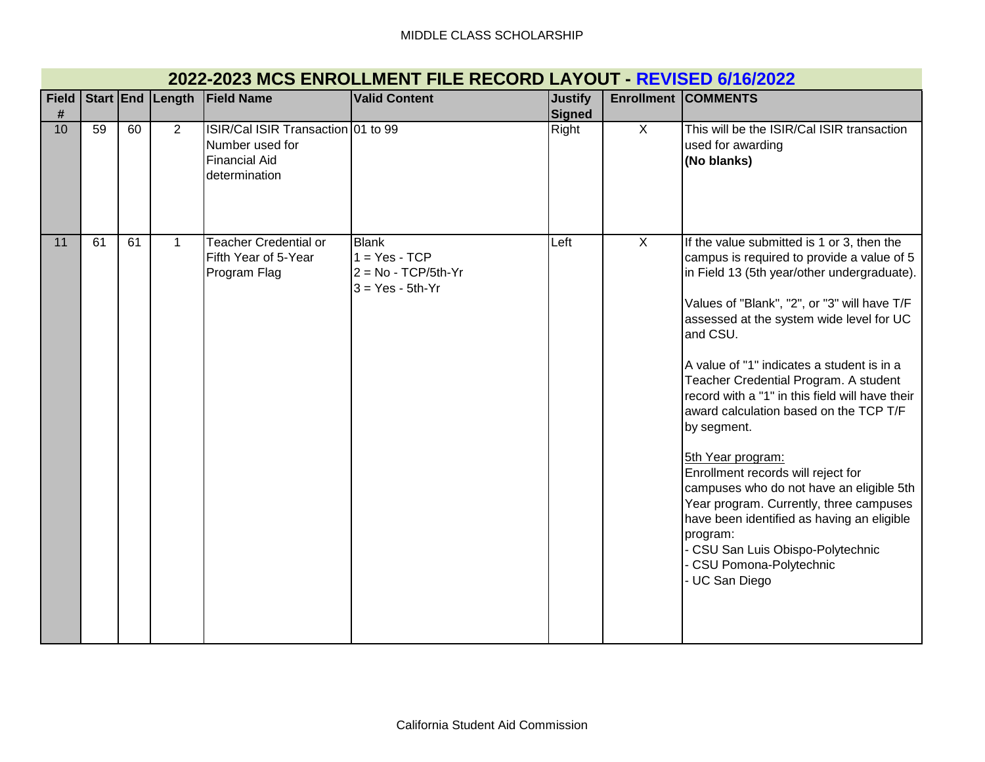|                   | ZUZZ-ZUZJ MICJ LININJELINILINI I ILE INECUND EATOUT<br><b>TILVIOLD VIIVILVAS</b> |    |                  |                                                                                                |                                                                         |                          |                   |                                                                                                                                                                                                                                                                                                                                                                                                                                                                                                                                                                                                                                                                                                                                             |  |  |
|-------------------|----------------------------------------------------------------------------------|----|------------------|------------------------------------------------------------------------------------------------|-------------------------------------------------------------------------|--------------------------|-------------------|---------------------------------------------------------------------------------------------------------------------------------------------------------------------------------------------------------------------------------------------------------------------------------------------------------------------------------------------------------------------------------------------------------------------------------------------------------------------------------------------------------------------------------------------------------------------------------------------------------------------------------------------------------------------------------------------------------------------------------------------|--|--|
| <b>Field</b><br># |                                                                                  |    | Start End Length | <b>Field Name</b>                                                                              | <b>Valid Content</b>                                                    | <b>Justify</b><br>Signed | <b>Enrollment</b> | <b>COMMENTS</b>                                                                                                                                                                                                                                                                                                                                                                                                                                                                                                                                                                                                                                                                                                                             |  |  |
| 10                | 59                                                                               | 60 | $\overline{2}$   | ISIR/Cal ISIR Transaction 01 to 99<br>Number used for<br><b>Financial Aid</b><br>determination |                                                                         | Right                    | $\mathsf{X}$      | This will be the ISIR/Cal ISIR transaction<br>used for awarding<br>(No blanks)                                                                                                                                                                                                                                                                                                                                                                                                                                                                                                                                                                                                                                                              |  |  |
| 11                | 61                                                                               | 61 | $\mathbf{1}$     | <b>Teacher Credential or</b><br>Fifth Year of 5-Year<br>Program Flag                           | Blank<br>$1 = Yes - TCP$<br>$2 = No - TCP/5th-Yr$<br>$3 = Yes - 5th-Yr$ | Left                     | $\overline{X}$    | If the value submitted is 1 or 3, then the<br>campus is required to provide a value of 5<br>in Field 13 (5th year/other undergraduate).<br>Values of "Blank", "2", or "3" will have T/F<br>assessed at the system wide level for UC<br>and CSU.<br>A value of "1" indicates a student is in a<br>Teacher Credential Program. A student<br>record with a "1" in this field will have their<br>award calculation based on the TCP T/F<br>by segment.<br>5th Year program:<br>Enrollment records will reject for<br>campuses who do not have an eligible 5th<br>Year program. Currently, three campuses<br>have been identified as having an eligible<br>program:<br>CSU San Luis Obispo-Polytechnic<br>CSU Pomona-Polytechnic<br>UC San Diego |  |  |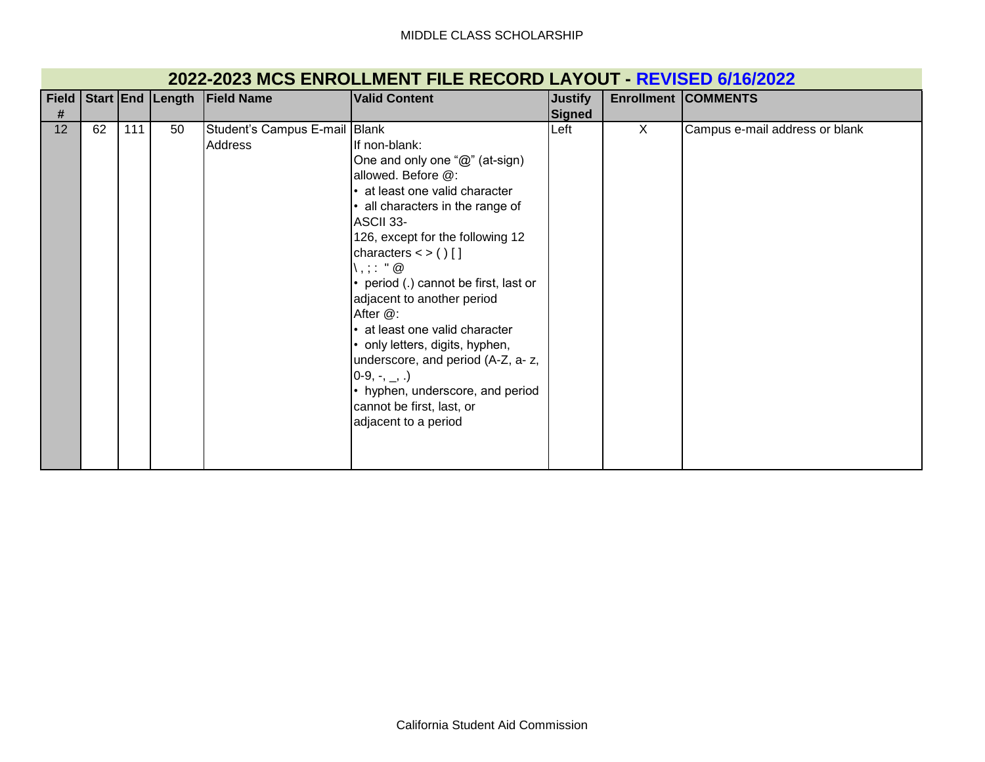| 2022-2023 MCS ENROLLMENT FILE RECORD LAYOUT - REVISED 6/16/2022 |  |
|-----------------------------------------------------------------|--|
|-----------------------------------------------------------------|--|

| <b>Field</b>    |    |     |    | Start End Length Field Name              | <b>Valid Content</b>                                                                                                                                                                                                                                                                                                                                                                                                                                                                                                                       | <b>Justify</b> |   | <b>Enrollment COMMENTS</b>     |
|-----------------|----|-----|----|------------------------------------------|--------------------------------------------------------------------------------------------------------------------------------------------------------------------------------------------------------------------------------------------------------------------------------------------------------------------------------------------------------------------------------------------------------------------------------------------------------------------------------------------------------------------------------------------|----------------|---|--------------------------------|
| #               |    |     |    |                                          |                                                                                                                                                                                                                                                                                                                                                                                                                                                                                                                                            | <b>Signed</b>  |   |                                |
| 12 <sup>°</sup> | 62 | 111 | 50 | Student's Campus E-mail Blank<br>Address | If non-blank:<br>One and only one "@" (at-sign)<br>allowed. Before @:<br>at least one valid character<br>all characters in the range of<br>ASCII 33-<br>126, except for the following 12<br>characters $\lt$ > ()[]<br>、, ; : "@<br>• period (.) cannot be first, last or<br>adjacent to another period<br>After @:<br>• at least one valid character<br>• only letters, digits, hyphen,<br>underscore, and period (A-Z, a-z,<br>$[0-9, -, \_$ .)<br>• hyphen, underscore, and period<br>cannot be first, last, or<br>adjacent to a period | Left           | X | Campus e-mail address or blank |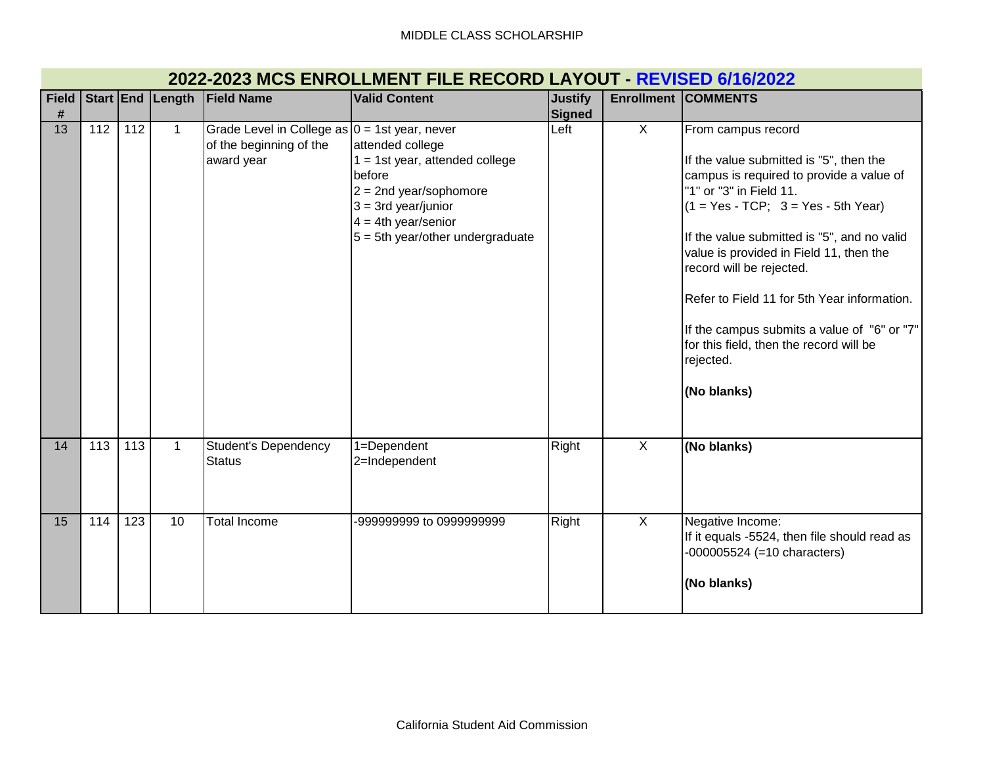| <b>Field</b> |                  |     | Start End Length | <b>Field Name</b>                                                                         | <b>Valid Content</b>                                                                                                                                                                  | <b>Justify</b> |                | <b>Enrollment COMMENTS</b>                                                                                                                                                                                                                                                                                                                                                                                                                                               |
|--------------|------------------|-----|------------------|-------------------------------------------------------------------------------------------|---------------------------------------------------------------------------------------------------------------------------------------------------------------------------------------|----------------|----------------|--------------------------------------------------------------------------------------------------------------------------------------------------------------------------------------------------------------------------------------------------------------------------------------------------------------------------------------------------------------------------------------------------------------------------------------------------------------------------|
| #            |                  |     |                  |                                                                                           |                                                                                                                                                                                       | Signed         |                |                                                                                                                                                                                                                                                                                                                                                                                                                                                                          |
| 13           | 112              | 112 | $\mathbf{1}$     | Grade Level in College as $0 = 1$ st year, never<br>of the beginning of the<br>award year | attended college<br>$1 = 1$ st year, attended college<br>before<br>$2 = 2$ nd year/sophomore<br>$3 = 3rd$ year/junior<br>$4 = 4th$ year/senior<br>$5 = 5$ th year/other undergraduate | Left           | $\mathsf{X}$   | From campus record<br>If the value submitted is "5", then the<br>campus is required to provide a value of<br>"1" or "3" in Field 11.<br>$(1 = Yes - TCP; 3 = Yes - 5th Year)$<br>If the value submitted is "5", and no valid<br>value is provided in Field 11, then the<br>record will be rejected.<br>Refer to Field 11 for 5th Year information.<br>If the campus submits a value of "6" or "7"<br>for this field, then the record will be<br>rejected.<br>(No blanks) |
| 14           | $\overline{113}$ | 113 | $\mathbf{1}$     | Student's Dependency<br><b>Status</b>                                                     | 1=Dependent<br>2=Independent                                                                                                                                                          | Right          | $\overline{X}$ | (No blanks)                                                                                                                                                                                                                                                                                                                                                                                                                                                              |
| 15           | 114              | 123 | 10               | <b>Total Income</b>                                                                       | -999999999 to 0999999999                                                                                                                                                              | Right          | $\overline{X}$ | Negative Income:<br>If it equals -5524, then file should read as<br>$-000005524$ (=10 characters)<br>(No blanks)                                                                                                                                                                                                                                                                                                                                                         |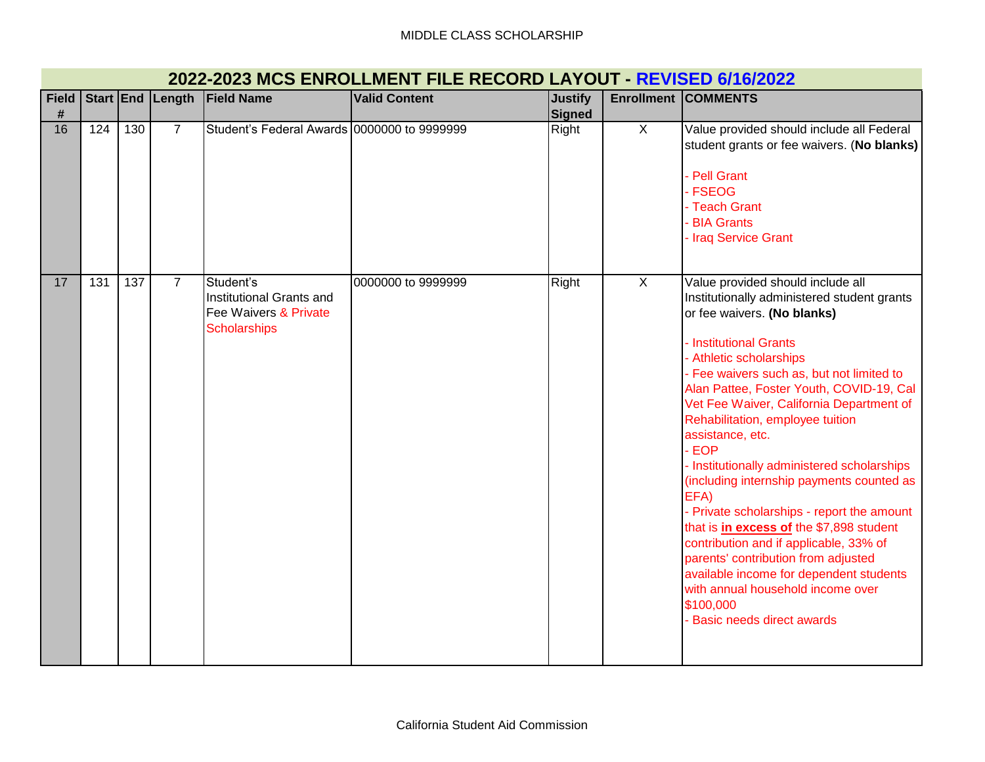| <b>Field</b> |     |     |                | Start End Length Field Name                                                           | <b>Valid Content</b> | <b>Justify</b> | <b>Enrollment</b> | <b>COMMENTS</b>                                                                                                                                                                                                                                                                                                                                                                                                                                                                                                                                                                                                                                                                                                                                                                         |
|--------------|-----|-----|----------------|---------------------------------------------------------------------------------------|----------------------|----------------|-------------------|-----------------------------------------------------------------------------------------------------------------------------------------------------------------------------------------------------------------------------------------------------------------------------------------------------------------------------------------------------------------------------------------------------------------------------------------------------------------------------------------------------------------------------------------------------------------------------------------------------------------------------------------------------------------------------------------------------------------------------------------------------------------------------------------|
| #            |     |     |                |                                                                                       |                      | <b>Signed</b>  |                   |                                                                                                                                                                                                                                                                                                                                                                                                                                                                                                                                                                                                                                                                                                                                                                                         |
| 16           | 124 | 130 | $\overline{7}$ | Student's Federal Awards 0000000 to 9999999                                           |                      | Right          | $\overline{X}$    | Value provided should include all Federal<br>student grants or fee waivers. (No blanks)<br>Pell Grant<br><b>FSEOG</b><br>- Teach Grant<br><b>BIA Grants</b><br>Iraq Service Grant                                                                                                                                                                                                                                                                                                                                                                                                                                                                                                                                                                                                       |
| 17           | 131 | 137 | $\overline{7}$ | Student's<br>Institutional Grants and<br>Fee Waivers & Private<br><b>Scholarships</b> | 0000000 to 9999999   | Right          | $\overline{X}$    | Value provided should include all<br>Institutionally administered student grants<br>or fee waivers. (No blanks)<br>Institutional Grants<br>Athletic scholarships<br>Fee waivers such as, but not limited to<br>Alan Pattee, Foster Youth, COVID-19, Cal<br>Vet Fee Waiver, California Department of<br>Rehabilitation, employee tuition<br>assistance, etc.<br><b>EOP</b><br>- Institutionally administered scholarships<br>(including internship payments counted as<br>EFA)<br>Private scholarships - report the amount<br>that is in excess of the \$7,898 student<br>contribution and if applicable, 33% of<br>parents' contribution from adjusted<br>available income for dependent students<br>with annual household income over<br>\$100,000<br><b>Basic needs direct awards</b> |